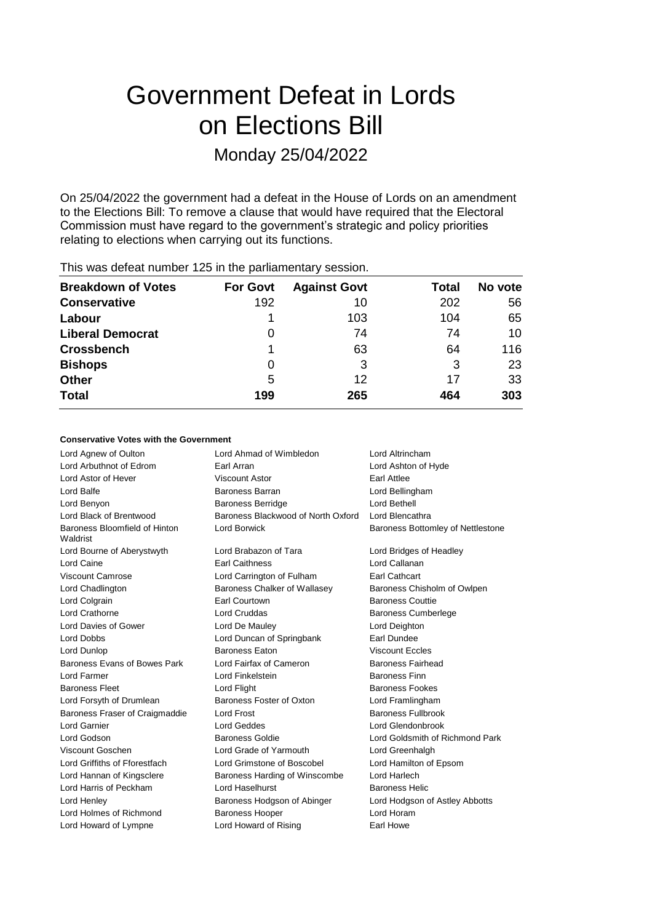# Government Defeat in Lords on Elections Bill Monday 25/04/2022

On 25/04/2022 the government had a defeat in the House of Lords on an amendment to the Elections Bill: To remove a clause that would have required that the Electoral Commission must have regard to the government's strategic and policy priorities relating to elections when carrying out its functions.

| <b>Breakdown of Votes</b> | <b>For Govt</b> | <b>Against Govt</b> | Total | No vote |
|---------------------------|-----------------|---------------------|-------|---------|
| <b>Conservative</b>       | 192             | 10                  | 202   | 56      |
| Labour                    |                 | 103                 | 104   | 65      |
| <b>Liberal Democrat</b>   | 0               | 74                  | 74    | 10      |
| <b>Crossbench</b>         |                 | 63                  | 64    | 116     |
| <b>Bishops</b>            | 0               | 3                   | 3     | 23      |
| <b>Other</b>              | 5               | 12                  | 17    | 33      |
| <b>Total</b>              | 199             | 265                 | 464   | 303     |

#### This was defeat number 125 in the parliamentary session.

#### **Conservative Votes with the Government**

| Lord Agnew of Oulton                      | Lord Ahmad of Wimbledon            | Lord Altrincham                   |
|-------------------------------------------|------------------------------------|-----------------------------------|
| Lord Arbuthnot of Edrom                   | Earl Arran                         | Lord Ashton of Hyde               |
| Lord Astor of Hever                       | <b>Viscount Astor</b>              | Earl Attlee                       |
| Lord Balfe                                | Baroness Barran                    | Lord Bellingham                   |
| Lord Benyon                               | <b>Baroness Berridge</b>           | Lord Bethell                      |
| Lord Black of Brentwood                   | Baroness Blackwood of North Oxford | Lord Blencathra                   |
| Baroness Bloomfield of Hinton<br>Waldrist | <b>Lord Borwick</b>                | Baroness Bottomley of Nettlestone |
| Lord Bourne of Aberystwyth                | Lord Brabazon of Tara              | Lord Bridges of Headley           |
| Lord Caine                                | <b>Earl Caithness</b>              | Lord Callanan                     |
| Viscount Camrose                          | Lord Carrington of Fulham          | Earl Cathcart                     |
| Lord Chadlington                          | Baroness Chalker of Wallasey       | Baroness Chisholm of Owlpen       |
| Lord Colgrain                             | <b>Earl Courtown</b>               | <b>Baroness Couttie</b>           |
| Lord Crathorne                            | <b>Lord Cruddas</b>                | <b>Baroness Cumberlege</b>        |
| Lord Davies of Gower                      | Lord De Mauley                     | Lord Deighton                     |
| Lord Dobbs                                | Lord Duncan of Springbank          | Earl Dundee                       |
| Lord Dunlop                               | <b>Baroness Eaton</b>              | <b>Viscount Eccles</b>            |
| Baroness Evans of Bowes Park              | Lord Fairfax of Cameron            | <b>Baroness Fairhead</b>          |
| Lord Farmer                               | Lord Finkelstein                   | <b>Baroness Finn</b>              |
| <b>Baroness Fleet</b>                     | Lord Flight                        | <b>Baroness Fookes</b>            |
| Lord Forsyth of Drumlean                  | Baroness Foster of Oxton           | Lord Framlingham                  |
| Baroness Fraser of Craigmaddie            | <b>Lord Frost</b>                  | <b>Baroness Fullbrook</b>         |
| Lord Garnier                              | <b>Lord Geddes</b>                 | Lord Glendonbrook                 |
| Lord Godson                               | <b>Baroness Goldie</b>             | Lord Goldsmith of Richmond Park   |
| Viscount Goschen                          | Lord Grade of Yarmouth             | Lord Greenhalgh                   |
| Lord Griffiths of Fforestfach             | Lord Grimstone of Boscobel         | Lord Hamilton of Epsom            |
| Lord Hannan of Kingsclere                 | Baroness Harding of Winscombe      | Lord Harlech                      |
| Lord Harris of Peckham                    | Lord Haselhurst                    | <b>Baroness Helic</b>             |
| Lord Henley                               | Baroness Hodgson of Abinger        | Lord Hodgson of Astley Abbotts    |
| Lord Holmes of Richmond                   | <b>Baroness Hooper</b>             | Lord Horam                        |
| Lord Howard of Lympne                     | Lord Howard of Rising              | Earl Howe                         |
|                                           |                                    |                                   |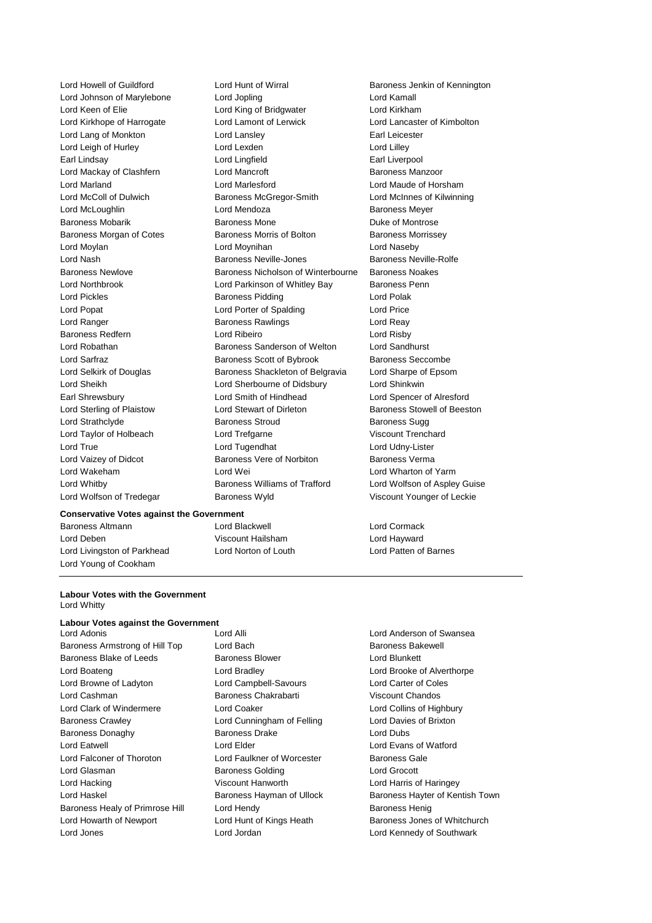Lord Johnson of Marylebone Lord Jopling Lord Kamall Lord Keen of Elie Lord King of Bridgwater Lord Kirkham Lord Kirkhope of Harrogate Lord Lamont of Lerwick Lord Lancaster of Kimbolton Lord Lang of Monkton **Lord Lansley Lord Lang Carl Leicester Earl Leicester** Lord Leigh of Hurley **Lord Lord Lexden** Lord Lord Lilley Earl Lindsay Lord Lingfield Earl Liverpool Lord Mackay of Clashfern Lord Mancroft Baroness Manzoor Lord Marland Lord Marlesford Lord Maude of Horsham Lord McColl of Dulwich Baroness McGregor-Smith Lord McInnes of Kilwinning Lord McLoughlin **Lord Mendoza Baroness Meyer** Baroness Mobarik **Baroness Mone** Baroness Mone **Duke of Montrose** Baroness Morgan of Cotes Baroness Morris of Bolton Baroness Morrissey Lord Moylan Lord Moynihan Lord Naseby Lord Nash Baroness Neville-Jones Baroness Neville-Rolfe Baroness Newlove Baroness Nicholson of Winterbourne Baroness Noakes Lord Northbrook Lord Parkinson of Whitley Bay Baroness Penn Lord Pickles **Baroness Pidding** Lord Polak Lord Popat Lord Porter of Spalding Lord Price Lord Ranger **Baroness Rawlings** Lord Reay Baroness Redfern Lord Ribeiro Lord Risby Lord Robathan Baroness Sanderson of Welton Lord Sandhurst Lord Sarfraz **Baroness Scott of Bybrook** Baroness Seccombe Lord Selkirk of Douglas Baroness Shackleton of Belgravia Lord Sharpe of Epsom Lord Sheikh Lord Sherbourne of Didsbury Lord Shinkwin Earl Shrewsbury Lord Smith of Hindhead Lord Spencer of Alresford Lord Sterling of Plaistow Lord Stewart of Dirleton Baroness Stowell of Beeston Lord Strathclyde **Baroness Stroud** Baroness Stroud Baroness Sugg Lord Taylor of Holbeach Lord Trefgarne Viscount Trenchard Lord True Lord Tugendhat Lord Udny-Lister Lord Vaizey of Didcot **Baroness Vere of Norbiton** Baroness Verma Lord Wakeham Lord Wei Lord Wharton of Yarm Lord Whitby Baroness Williams of Trafford Lord Wolfson of Aspley Guise Lord Wolfson of Tredegar Baroness Wyld Viscount Younger of Leckie

#### **Conservative Votes against the Government**

Baroness Altmann Lord Blackwell Lord Cormack Lord Deben Viscount Hailsham Lord Hayward Lord Livingston of Parkhead Lord Norton of Louth Lord Patten of Barnes Lord Young of Cookham

Lord Howell of Guildford **Lord Hunt of Wirral** Baroness Jenkin of Kennington

#### **Labour Votes with the Government** Lord Whitty

### **Labour Votes against the Government**<br>Lord Adonis

Baroness Armstrong of Hill Top Lord Bach Baroness Bakewell Baroness Blake of Leeds Baroness Blower Correct Lord Blunkett Lord Boateng Lord Bradley Lord Brooke of Alverthorpe Lord Browne of Ladyton Lord Campbell-Savours Lord Carter of Coles Lord Cashman Baroness Chakrabarti Viscount Chandos Lord Clark of Windermere Lord Coaker Lord Collins of Highbury Baroness Crawley Lord Cunningham of Felling Lord Davies of Brixton Baroness Donaghy Baroness Drake Lord Dubs Lord Eatwell Lord Elder Lord Evans of Watford Lord Falconer of Thoroton Lord Faulkner of Worcester Baroness Gale Lord Glasman Baroness Golding Lord Grocott Lord Hacking Viscount Hanworth Lord Harris of Haringey Baroness Healy of Primrose Hill Lord Hendy Contract Contract Baroness Henig Lord Howarth of Newport Lord Hunt of Kings Heath Baroness Jones of Whitchurch Lord Jones Lord Jordan Lord Kennedy of Southwark

Lord Adonis Lord Alli Lord Anderson of Swansea

Lord Haskel **Baroness Hayman of Ullock** Baroness Hayter of Kentish Town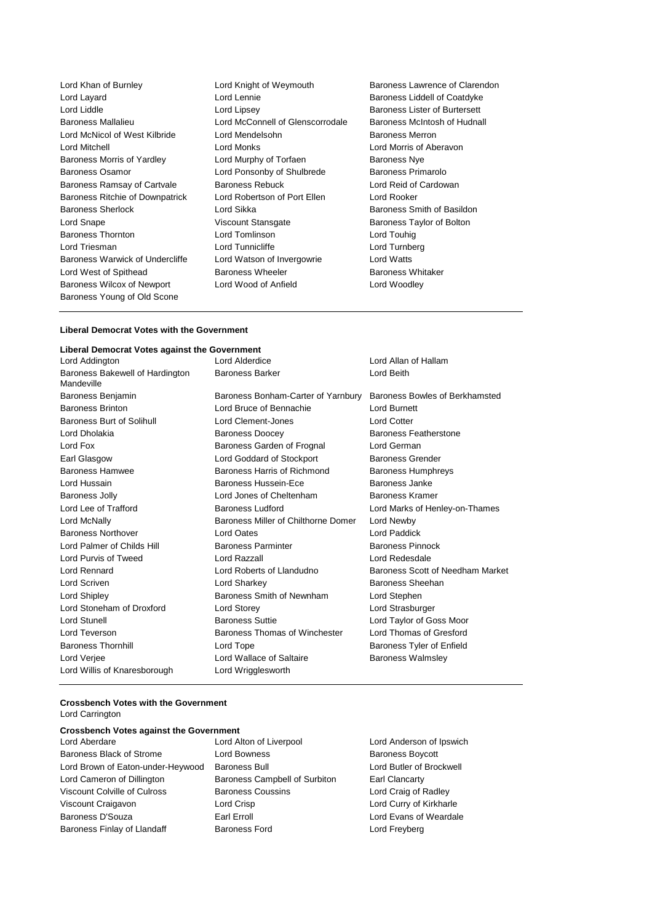Lord Layard Lord Lennie Baroness Liddell of Coatdyke Lord Liddle **Lord Lipsey** Lord Lipsey **Baroness Lister of Burtersett** Baroness Mallalieu Lord McConnell of Glenscorrodale Baroness McIntosh of Hudnall Lord McNicol of West Kilbride Lord Mendelsohn Baroness Merron Lord Mitchell Lord Monks Lord Morris of Aberavon Baroness Morris of Yardley **Lord Murphy of Torfaen** Baroness Nye Baroness Osamor Lord Ponsonby of Shulbrede Baroness Primarolo Baroness Ramsay of Cartvale Baroness Rebuck Lord Reid of Cardowan Baroness Ritchie of Downpatrick Lord Robertson of Port Ellen Lord Rooker Baroness Sherlock Lord Sikka Baroness Smith of Basildon Lord Snape **Viscount Stansgate** Baroness Taylor of Bolton Baroness Thornton Lord Tomlinson Lord Touhig Baroness Warwick of Undercliffe Lord Watson of Invergowrie Lord Watts Lord West of Spithead **Baroness Wheeler** Baroness Wheeler Baroness Whitaker Baroness Wilcox of Newport Lord Wood of Anfield Lord Woodley Baroness Young of Old Scone

Lord Tunnicliffe Lord Turnberg

Lord Khan of Burnley Lord Knight of Weymouth Baroness Lawrence of Clarendon

#### **Liberal Democrat Votes with the Government**

#### **Liberal Democrat Votes against the Government**

| Lord Addington                                | Lord Alderdice                      | Lord Allan of Hallam             |
|-----------------------------------------------|-------------------------------------|----------------------------------|
| Baroness Bakewell of Hardington<br>Mandeville | <b>Baroness Barker</b>              | Lord Beith                       |
| Baroness Benjamin                             | Baroness Bonham-Carter of Yarnbury  | Baroness Bowles of Berkhamsted   |
| <b>Baroness Brinton</b>                       | Lord Bruce of Bennachie             | Lord Burnett                     |
| <b>Baroness Burt of Solihull</b>              | Lord Clement-Jones                  | <b>Lord Cotter</b>               |
| Lord Dholakia                                 | <b>Baroness Doocey</b>              | <b>Baroness Featherstone</b>     |
| Lord Fox                                      | Baroness Garden of Frognal          | Lord German                      |
| Earl Glasgow                                  | Lord Goddard of Stockport           | <b>Baroness Grender</b>          |
| <b>Baroness Hamwee</b>                        | Baroness Harris of Richmond         | <b>Baroness Humphreys</b>        |
| Lord Hussain                                  | Baroness Hussein-Ece                | Baroness Janke                   |
| Baroness Jolly                                | Lord Jones of Cheltenham            | Baroness Kramer                  |
| Lord Lee of Trafford                          | <b>Baroness Ludford</b>             | Lord Marks of Henley-on-Thames   |
| Lord McNally                                  | Baroness Miller of Chilthorne Domer | Lord Newby                       |
| <b>Baroness Northover</b>                     | <b>Lord Oates</b>                   | Lord Paddick                     |
| Lord Palmer of Childs Hill                    | <b>Baroness Parminter</b>           | <b>Baroness Pinnock</b>          |
| Lord Purvis of Tweed                          | Lord Razzall                        | Lord Redesdale                   |
| Lord Rennard                                  | Lord Roberts of Llandudno           | Baroness Scott of Needham Market |
| Lord Scriven                                  | Lord Sharkey                        | Baroness Sheehan                 |
| Lord Shipley                                  | Baroness Smith of Newnham           | Lord Stephen                     |
| Lord Stoneham of Droxford                     | Lord Storey                         | Lord Strasburger                 |
| <b>Lord Stunell</b>                           | <b>Baroness Suttie</b>              | Lord Taylor of Goss Moor         |
| Lord Teverson                                 | Baroness Thomas of Winchester       | Lord Thomas of Gresford          |
| <b>Baroness Thornhill</b>                     | Lord Tope                           | Baroness Tyler of Enfield        |
| Lord Verjee                                   | Lord Wallace of Saltaire            | <b>Baroness Walmsley</b>         |
| Lord Willis of Knaresborough                  | Lord Wrigglesworth                  |                                  |

#### **Crossbench Votes with the Government** Lord Carrington

## **Crossbench Votes against the Government**

Baroness Black of Strome Lord Bowness Baroness Boycott Lord Brown of Eaton-under-Heywood Baroness Bull **Lord Butler of Brockwell** Lord Cameron of Dillington Baroness Campbell of Surbiton Earl Clancarty Viscount Colville of Culross Baroness Coussins Lord Craig of Radley Viscount Craigavon Lord Crisp Lord Curry of Kirkharle Baroness D'Souza **Earl Erroll** Earl Erroll Lord Evans of Weardale Baroness Finlay of Llandaff **Baroness Ford Baroness Ford** Lord Freyberg

Lord Anderson of Ipswich